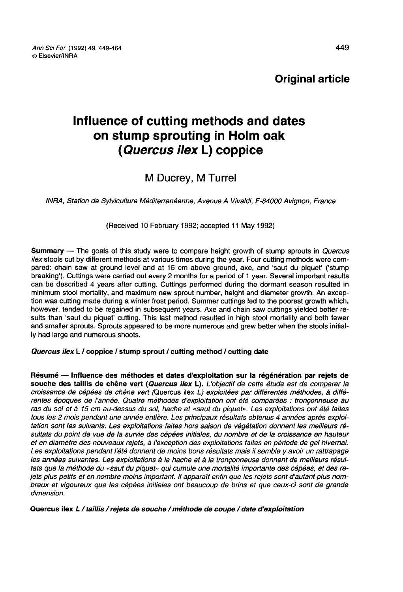Original article

# Influence of cutting methods and dates on stump sprouting in Holm oak (Quercus ilex L) coppice

## M Ducrey, M Turrel

INRA, Station de Sylviculture Méditerranéenne, Avenue A Vivaldi, F-84000 Avignon, France

(Received 10 February 1992; accepted 11 May 1992)

Summary — The goals of this study were to compare height growth of stump sprouts in Quercus ilex stools cut by different methods at various times during the year. Four cutting methods were compared: chain saw at ground level and at 15 cm above ground, axe, and 'saut du piquet' ('stump breaking'). Cuttings were carried out every 2 months for a period of 1 year. Several important results can be described 4 years after cutting. Cuttings performed during the dormant season resulted in minimum stool mortality, and maximum new sprout number, height and diameter growth. An exception was cutting made during a winter frost period. Summer cuttings led to the poorest growth which, however, tended to be regained in subsequent years. Axe and chain saw cuttings yielded better results than 'saut du piquet' cutting. This last method resulted in high stool mortality and both fewer and smaller sprouts. Sprouts appeared to be more numerous and grew better when the stools initially had large and numerous shoots.

## Quercus ilex L / coppice / stump sprout / cutting method / cutting date

Résumé — Influence des méthodes et dates d'exploitation sur la régénération par rejets de souche des taillis de chêne vert (Quercus ilex L). L'objectif de cette étude est de comparer la croissance de cépées de chêne vert (Quercus ilex L) exploitées par différentes méthodes, à différentes époques de l'année. Quatre méthodes d'exploitation ont été comparées : tronçonneuse au ras du sol et à 15 cm au-dessus du sol, hache et «saut du piquet». Les exploitations ont été faites tous les 2 mois pendant une année entière. Les principaux résultats obtenus 4 années après exploitation sont les suivants. Les exploitations faites hors saison de végétation donnent les meilleurs résultats du point de vue de la survie des cépées initiales, du nombre et de la croissance en hauteur et en diamètre des nouveaux rejets, à l'exception des exploitations faites en période de gel hivernal. Les exploitations pendant l'été donnent de moins bons résultats mais il semble y avoir un rattrapage les années suivantes. Les exploitations à la hache et à la tronçonneuse donnent de meilleurs résultats que la méthode du «saut du piquet» qui cumule une mortalité importante des cépées, et des rejets plus petits et en nombre moins important. II apparaît enfin que les rejets sont d'autant plus nombreux et vigoureux que les cépées initiales ont beaucoup de brins et que ceux-ci sont de grande dimension.

Quercus ilex L / taillis / rejets de souche / méthode de coupe / date d'exploitation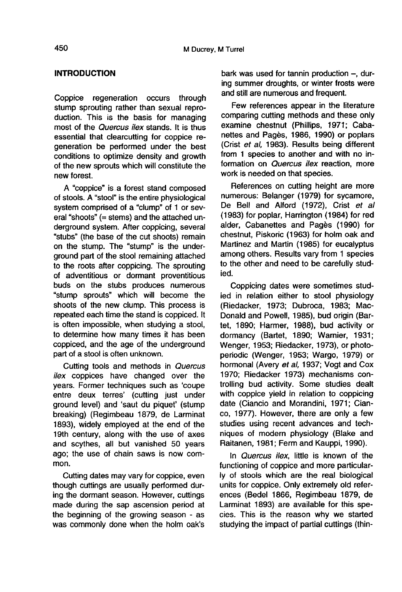## INTRODUCTION

Coppice regeneration occurs through stump sprouting rather than sexual reproduction. This is the basis for managing most of the *Quercus ilex* stands. It is thus essential that clearcutting for coppice regeneration be performed under the best conditions to optimize density and growth of the new sprouts which will constitute the new forest.

A "coppice" is a forest stand composed of stools. A "stool" is the entire physiological system comprised of a "clump" of 1 or several "shoots" (= stems) and the attached underground system. After coppicing, several "stubs" (the base of the cut shoots) remain on the stump. The "stump" is the underground part of the stool remaining attached to the roots after coppicing. The sprouting of adventitious or dormant proventitious buds on the stubs produces numerous "stump sprouts" which will become the shoots of the new clump. This process is repeated each time the stand is coppiced. It is often impossible, when studying a stool, to determine how many times it has been coppiced, and the age of the underground part of a stool is often unknown.

Cutting tools and methods in Quercus ilex coppices have changed over the years. Former techniques such as 'coupe entre deux terres' (cutting just under ground level) and 'saut du piquet' (stump breaking) (Regimbeau 1879, de Larminat 1893), widely employed at the end of the 19th century, along with the use of axes and scythes, all but vanished 50 years ago; the use of chain saws is now common.

Cutting dates may vary for coppice, even though cuttings are usually performed during the dormant season. However, cuttings made during the sap ascension period at the beginning of the growing season - as was commonly done when the holm oak's

bark was used for tannin production  $-$ , during summer droughts, or winter frosts were and still are numerous and frequent.

Few references appear in the literature comparing cutting methods and these only examine chestnut (Phillips, 1971; Cabanettes and Pagès, 1986, 1990) or poplars (Crist et al, 1983). Results being different from 1 species to another and with no information on *Quercus ilex* reaction, more work is needed on that species.

References on cutting height are more numerous: Belanger (1979) for sycamore, De Bell and Alford (1972), Crist et al (1983) for poplar, Harrington (1984) for red alder, Cabanettes and Pagès (1990) for chestnut, Piskoric (1963) for holm oak and Martinez and Martin (1985) for eucalyptus among others. Results vary from 1 species to the other and need to be carefully studied.

Coppicing dates were sometimes studied in relation either to stool physiology (Riedacker, 1973; Dubroca, 1983; Mac-Donald and Powell, 1985), bud origin (Bartet, 1890; Harmer, 1988), bud activity or dormancy (Bartet, 1890; Warnier, 1931; Wenger, 1953; Riedacker, 1973), or photoperiodic (Wenger, 1953; Wargo, 1979) or hormonal (Avery et al, 1937; Vogt and Cox 1970; Riedacker 1973) mechanisms controlling bud activity. Some studies dealt with coppice yield in relation to coppicing date (Ciancio and Morandini, 1971; Cianco, 1977). However, there are only a few studies using recent advances and techniques of modern physiology (Blake and Raitanen, 1981; Ferm and Kauppi, 1990).

In *Quercus ilex*, little is known of the functioning of coppice and more particularly of stools which are the real biological units for coppice. Only extremely old references (Bedel 1866, Regimbeau 1879, de Larminat 1893) are available for this species. This is the reason why we started studying the impact of partial cuttings (thin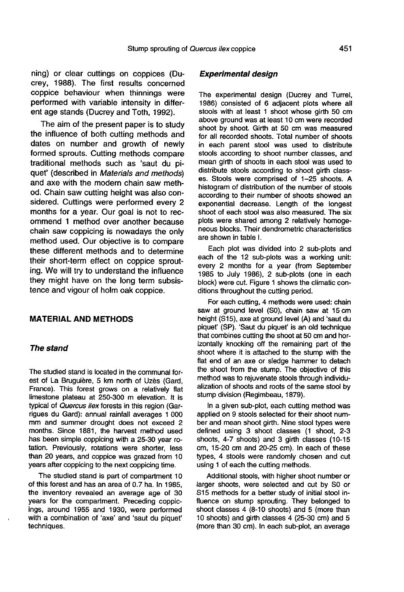ning) or clear cuttings on coppices (Ducrey, 1988). The first results concerned coppice behaviour when thinnings were performed with variable intensity in different age stands (Ducrey and Toth, 1992).

The aim of the present paper is to study the influence of both cutting methods and dates on number and growth of newly formed sprouts. Cutting methods compare traditional methods such as 'saut du piquet' (described in Materials and methods) and axe with the modern chain saw method. Chain saw cutting height was also considered. Cuttings were performed every 2 months for a year. Our goal is not to recommend 1 method over another because chain saw coppicing is nowadays the only method used. Our objective is to compare these different methods and to determine their short-term effect on coppice sprouting. We will try to understand the influence they might have on the long term subsistence and vigour of holm oak coppice.

## MATERIAL AND METHODS

#### The stand

The studied stand is located in the communal forest of La Bruguière, 5 km north of Uzès (Gard, France). This forest grows on a relatively flat limestone plateau at 250-300 m elevation. It is typical of Quercus ilex forests in this region (Garrigues du Gard): annual rainfall averages 1 000 mm and summer drought does not exceed 2 months. Since 1881, the harvest method used has been simple coppicing with a 25-30 year rotation. Previously, rotations were shorter, less than 20 years, and coppice was grazed from 10 years after coppicing to the next coppicing time.

The studied stand is part of compartment 10 of this forest and has an area of 0.7 ha. In 1985, the inventory revealed an average age of 30 years for the compartment. Preceding coppicings, around 1955 and 1930, were performed with a combination of 'axe' and 'saut du piquet' techniques.

### Experimental design

The experimental design (Ducrey and Turrel, 1986) consisted of 6 adjacent plots where all stools with at least 1 shoot whose girth 50 cm above ground was at least 10 cm were recorded shoot by shoot. Girth at 50 cm was measured for all recorded shoots. Total number of shoots in each parent stool was used to distribute stools according to shoot number classes, and mean girth of shoots in each stool was used to distribute stools according to shoot girth classes. Stools were comprised of 1-25 shoots. A histogram of distribution of the number of stools according to their number of shoots showed an exponential decrease. Length of the longest shoot of each stool was also measured. The six plots were shared among 2 relatively homoge neous blocks. Their dendrometric characteristics are shown in table I.

Each plot was divided into 2 sub-plots and each of the 12 sub-plots was a working unit: every 2 months for a year (from September 1985 to July 1986), 2 sub-plots (one in each block) were cut. Figure 1 shows the climatic conditions throughout the cutting period.

For each cutting, 4 methods were used: chain saw at ground level (S0), chain saw at 15 cm height (S15), axe at ground level (A) and 'saut du piquet' (SP). 'Saut du piquet' is an old technique that combines cutting the shoot at 50 cm and horizontally knocking off the remaining part of the shoot where it is attached to the stump with the flat end of an axe or sledge hammer to detach the shoot from the stump. The objective of this method was to rejuvenate stools through individualization of shoots and roots of the same stool by stump division (Regimbeau, 1879).

In a given sub-plot, each cutting method was applied on 9 stools selected for their shoot number and mean shoot girth. Nine stool types were defined using 3 shoot classes (1 shoot, 2-3 shoots, 4-7 shoots) and 3 girth classes (10-15 cm, 15-20 cm and 20-25 cm). In each of these types, 4 stools were randomly chosen and cut using 1 of each the cutting methods.

Additional stools, with higher shoot number or larger shoots, were selected and cut by S0 or S15 methods for a better study of initial stool influence on stump sprouting. They belonged to shoot classes 4 (8-10 shoots) and 5 (more than 10 shoots) and girth classes 4 (25-30 cm) and 5 (more than 30 cm). In each sub-plot, an average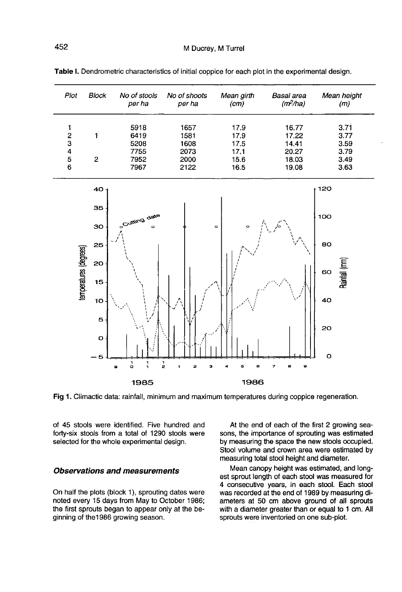| Plot | Block | No of stools<br>per ha | No of shoots<br>per ha | Mean girth<br>(cm) | Basal area<br>(m <sup>2</sup> /ha) | Mean height<br>(m) |
|------|-------|------------------------|------------------------|--------------------|------------------------------------|--------------------|
|      |       | 5918                   | 1657                   | 17.9               | 16.77                              | 3.71               |
| 2    |       | 6419                   | 1581                   | 17.9               | 17.22                              | 3.77               |
| з    |       | 5208                   | 1608                   | 17.5               | 14.41                              | 3.59               |
| 4    |       | 7755                   | 2073                   | 17.1               | 20.27                              | 3.79               |
| 5    | 2     | 7952                   | 2000                   | 15.6               | 18.03                              | 3.49               |
| 6    |       | 7967                   | 2122                   | 16.5               | 19.08                              | 3.63               |





Fig 1. Climactic data: rainfall, minimum and maximum temperatures during coppice regeneration.

of 45 stools were identified. Five hundred and forty-six stools from a total of 1290 stools were selected for the whole experimental design.

#### Observations and measurements

On half the plots (block 1), sprouting dates were noted every 15 days from May to October 1986; the first sprouts began to appear only at the beginning of the1986 growing season.

At the end of each of the first 2 growing seasons, the importance of sprouting was estimated by measuring the space the new stools occupied. Stool volume and crown area were estimated by measuring total stool height and diameter.

Mean canopy height was estimated, and long est sprout length of each stool was measured for 4 consecutive years, in each stool. Each stool was recorded at the end of 1989 by measuring diameters at 50 cm above ground of all sprouts with a diameter greater than or equal to 1 cm. All sprouts were inventoried on one sub-plot.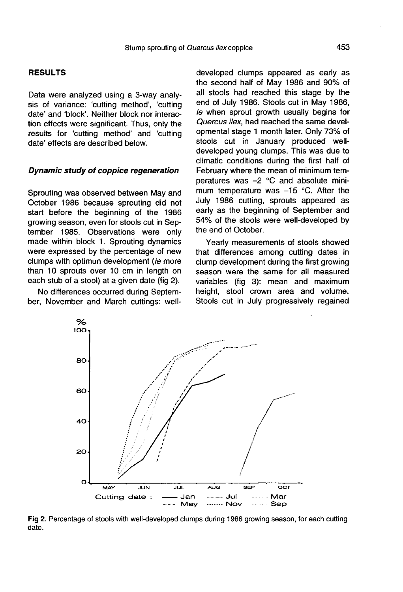## RESULTS

Data were analyzed using a 3-way analysis of variance: 'cutting method', 'cutting date' and 'block'. Neither block nor interaction effects were significant. Thus, only the results for 'cutting method' and 'cutting date' effects are described below.

#### Dynamic study of coppice regeneration

Sprouting was observed between May and October 1986 because sprouting did not start before the beginning of the 1986 growing season, even for stools cut in September 1985. Observations were only made within block 1. Sprouting dynamics were expressed by the percentage of new clumps with optimun development (ie more than 10 sprouts over 10 cm in length on each stub of a stool) at a given date (fig 2).

No differences occurred during September, November and March cuttings: well-

> % 100

> > 80

60

40

20

developed clumps appeared as early as the second half of May 1986 and 90% of all stools had reached this stage by the end of July 1986. Stools cut in May 1986, ie when sprout growth usually begins for Quercus ilex, had reached the same developmental stage 1 month later. Only 73% of stools cut in January produced welldeveloped young clumps. This was due to climatic conditions during the first half of February where the mean of minimum temperatures was -2 °C and absolute minimum temperature was  $-15$  °C. After the July 1986 cutting, sprouts appeared as early as the beginning of September and 54% of the stools were well-developed by the end of October.

Yearly measurements of stools showed that differences among cutting dates in clump development during the first growing season were the same for all measured variables (fig 3): mean and maximum height, stool crown area and volume. Stools cut in July progressively regained



date.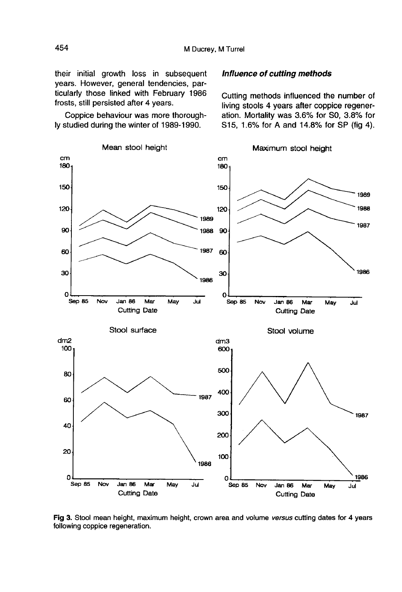their initial growth loss in subsequent years. However, general tendencies, particularly those linked with February 1986 frosts, still persisted after 4 years.

Coppice behaviour was more thoroughly studied during the winter of 1989-1990.

#### Influence of cutting methods

Cutting methods influenced the number of living stools 4 years after coppice regeneration. Mortality was 3.6% for S0, 3.8% for S15, 1.6% for A and 14.8% for SP (fig 4).



Fig 3. Stool mean height, maximum height, crown area and volume versus cutting dates for 4 years following coppice regeneration.

454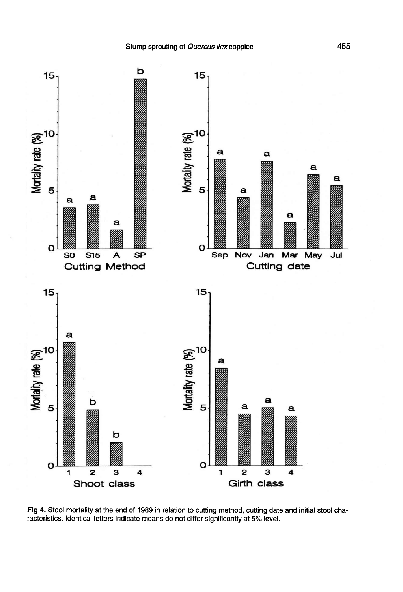

Fig 4. Stool mortality at the end of 1989 in relation to cutting method, cutting date and initial stool characteristics. Identical letters indicate means do not differ significantly at 5% level.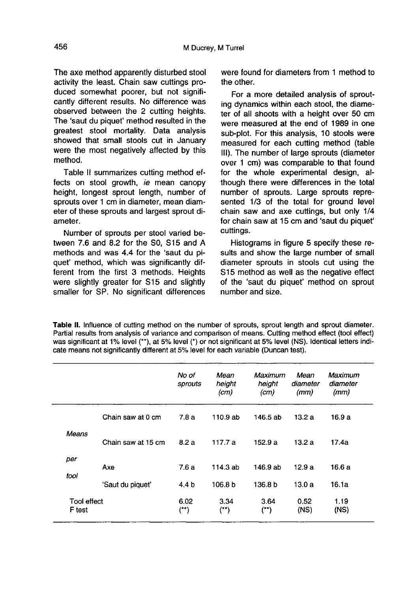The axe method apparently disturbed stool activity the least. Chain saw cuttings produced somewhat poorer, but not significantly different results. No difference was observed between the 2 cutting heights. The 'saut du piquet' method resulted in the greatest stool mortality. Data analysis showed that small stools cut in January were the most negatively affected by this method.

Table II summarizes cutting method effects on stool growth, ie mean canopy height, longest sprout length, number of sprouts over 1 cm in diameter, mean diameter of these sprouts and largest sprout diameter.

Number of sprouts per stool varied between 7.6 and 8.2 for the S0, S15 and A methods and was 4.4 for the 'saut du piquet' method, which was significantly different from the first 3 methods. Heights were slightly greater for S15 and slightly smaller for SP. No significant differences were found for diameters from 1 method to the other.

For a more detailed analysis of sprouting dynamics within each stool, the diameter of all shoots with a height over 50 cm were measured at the end of 1989 in one sub-plot. For this analysis, 10 stools were measured for each cutting method (table III). The number of large sprouts (diameter over 1 cm) was comparable to that found for the whole experimental design, although there were differences in the total number of sprouts. Large sprouts represented 1/3 of the total for ground level chain saw and axe cuttings, but only 1/4 for chain saw at 15 cm and 'saut du piquet' cuttings.

Histograms in figure 5 specify these results and show the large number of small diameter sprouts in stools cut using the S<sub>15</sub> method as well as the negative effect of the 'saut du piquet' method on sprout number and size.

Table II. Influence of cutting method on the number of sprouts, sprout length and sprout diameter. Partial results from analysis of variance and comparison of means. Cutting method effect (tool effect) was significant at 1% level (\*\*), at 5% level (\*) or not significant at 5% level (NS). Identical letters indicate means not significantly different at 5% level for each variable (Duncan test).

|                       |                    | No of<br>sprouts   | Mean<br>height<br>(cm) | Maximum<br>height<br>(cm) | Mean<br>diameter<br>(mm) | Maximum<br>diameter<br>(mm) |
|-----------------------|--------------------|--------------------|------------------------|---------------------------|--------------------------|-----------------------------|
|                       | Chain saw at 0 cm  | 7.8a               | 110.9 ab               | 146.5 ab                  | 13.2a                    | 16.9 a                      |
| Means                 | Chain saw at 15 cm | 8.2a               | 117.7 a                | 152.9a                    | 13.2a                    | 17.4a                       |
| per<br>tool           | Axe                | 7.6a               | 114.3 ab               | 146.9 ab                  | 12.9a                    | 16.6 a                      |
|                       | 'Saut du piquet'   | 4.4 b              | 106.8 b                | 136.8 b                   | 13.0a                    | 16.1a                       |
| Tool effect<br>F test |                    | 6.02<br>$(1^{**})$ | 3.34<br>$($ **)        | 3.64<br>(**)              | 0.52<br>(NS)             | 1.19<br>(NS)                |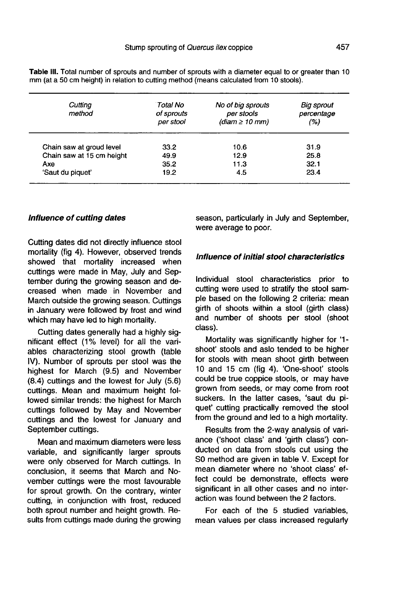| Cutting<br>method         | Total No<br>of sprouts<br>per stool | No of big sprouts<br>per stools<br>$(diam \geq 10 mm)$ | <b>Big sprout</b><br>percentage<br>(%) |
|---------------------------|-------------------------------------|--------------------------------------------------------|----------------------------------------|
| Chain saw at groud level  | 33.2                                | 10.6                                                   | 31.9                                   |
| Chain saw at 15 cm height | 49.9                                | 12.9                                                   | 25.8                                   |
| Axe                       | 35.2                                | 11.3                                                   | 32.1                                   |
| 'Saut du piquet'          | 19.2                                | 4.5                                                    | 23.4                                   |

Table III. Total number of sprouts and number of sprouts with a diameter equal to or greater than 10 mm (at a 50 cm height) in relation to cutting method (means calculated from 10 stools).

#### Influence of cutting dates

Cutting dates did not directly influence stool mortality (fig 4). However, observed trends showed that mortality increased when cuttings were made in May, July and September during the growing season and decreased when made in November and March outside the growing season. Cuttings in January were followed by frost and wind which may have led to high mortality.

Cutting dates generally had a highly significant effect (1% level) for all the variables characterizing stool growth (table IV). Number of sprouts per stool was the highest for March (9.5) and November (8.4) cuttings and the lowest for July (5.6) cuttings. Mean and maximum height followed similar trends: the highest for March cuttings followed by May and November cuttings and the lowest for January and September cuttings.

Mean and maximum diameters were less variable, and significantly larger sprouts were only observed for March cuttings. In conclusion, it seems that March and November cuttings were the most favourable for sprout growth. On the contrary, winter cutting, in conjunction with frost, reduced both sprout number and height growth. Results from cuttings made during the growing season, particularly in July and September, were average to poor.

## Influence of initial stool characteristics

Individual stool characteristics prior to cutting were used to stratify the stool sample based on the following 2 criteria: mean girth of shoots within a stool (girth class) and number of shoots per stool (shoot class).

Mortality was significantly higher for '1 shoot' stools and aslo tended to be higher for stools with mean shoot girth between 10 and 15 cm (fig 4). 'One-shoot' stools could be true coppice stools, or may have grown from seeds, or may come from root suckers. In the latter cases, 'saut du piquet' cutting practically removed the stool from the ground and led to a high mortality.

Results from the 2-way analysis of variance ('shoot class' and 'girth class') conducted on data from stools cut using the S0 method are given in table V. Except for mean diameter where no 'shoot class' effect could be demonstrate, effects were significant in all other cases and no interaction was found between the 2 factors.

For each of the 5 studied variables, mean values per class increased regularly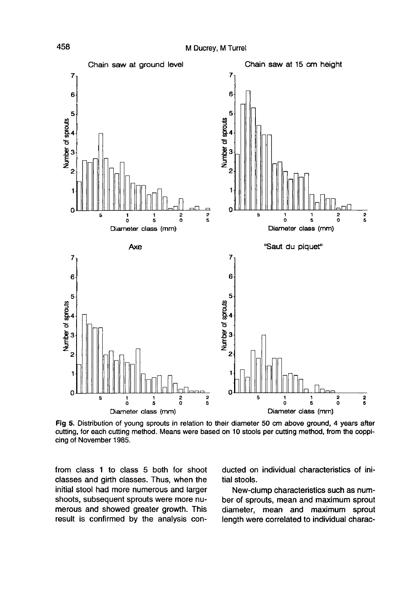

Fig 5. Distribution of young sprouts in relation to their diameter 50 cm above ground, 4 years after cutting, for each cutting method. Means were based on 10 stools per cutting method, from the coppicing of November 1985.

from class 1 to class 5 both for shoot classes and girth classes. Thus, when the initial stool had more numerous and larger shoots, subsequent sprouts were more numerous and showed greater growth. This result is confirmed by the analysis conducted on individual characteristics of initial stools.

New-clump characteristics such as number of sprouts, mean and maximum sprout diameter, mean and maximum sprout length were correlated to individual charac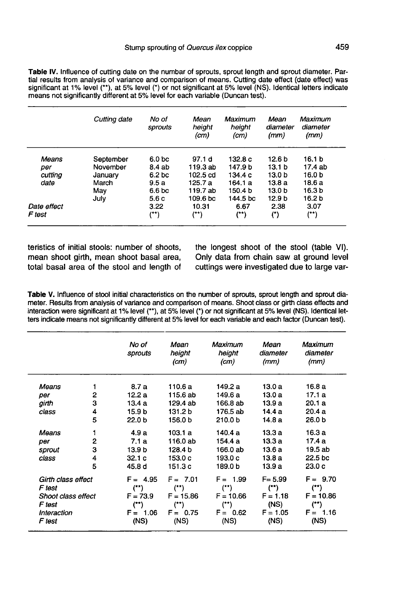Table IV. Influence of cutting date on the numbar of sprouts, sprout length and sprout diameter. Partial results from analysis of variance and comparison of means. Cutting date effect (date effect) was significant at 1% level (\*\*), at 5% level (\*) or not significant at 5% level (NS). Identical letters indicate means not significantly different at 5% level for each variable (Duncan test).

|             | Cutting date | No of<br>sprouts   | Mean<br>height<br>(cm) | Maximum<br>height<br>(cm) | Mean<br>diameter<br>(mm) | Maximum<br>diameter<br>(mm) |
|-------------|--------------|--------------------|------------------------|---------------------------|--------------------------|-----------------------------|
| Means       | September    | 6.0 <sub>bc</sub>  | 97.1 d                 | 132.8 c                   | 12.6 b                   | 16.1 b                      |
| per         | November     | 8.4 ab             | 119.3 ab               | 147.9 b                   | 13.1 <sub>b</sub>        | 17.4 ab                     |
| cutting     | January      | 6.2 <sub>b</sub> c | 102.5 cd               | 134.4 c                   | 13.0 <sub>b</sub>        | 16.0 b                      |
| date        | March        | 9.5a               | 125.7 a                | 164.1 a                   | 13.8a                    | 18.6 a                      |
|             | May          | 6.6 bc             | 119.7 ab               | 150.4 b                   | 13.0 b                   | 16.3 <sub>b</sub>           |
|             | July         | 5.6 c              | 109.6 <sub>bc</sub>    | 144.5 bc                  | 12.9 b                   | 16.2 b                      |
| Date effect |              | 3.22               | 10.31                  | 6.67                      | 2.38                     | 3.07                        |
| F test      |              | (**)               | (**)                   | (**)                      | (*)                      | (**)                        |

teristics of initial stools: number of shoots, mean shoot girth, mean shoot basal area, total basal area of the stool and length of the longest shoot of the stool (table VI). Only data from chain saw at ground level cuttings were investigated due to large var-

Table V. Influence of stool initial characteristics on the number of sprouts, sprout length and sprout diameter. Results from analysis of variance and comparison of means. Shoot class or girth class effects and interaction were significant at 1% level (\*\*), at 5% level (\*) or not significant at 5% level (NS). Identical letters indicate means not significantly different at 5% level for each variable and each factor (Duncan test).

|                              |   | No of<br>sprouts      | Mean<br>height<br>(cm) | Maximum<br>height<br>(cm) | Mean<br>diameter<br>(mm) | Maximum<br>diameter<br>(mm) |
|------------------------------|---|-----------------------|------------------------|---------------------------|--------------------------|-----------------------------|
| Means                        | 1 | 8.7a                  | 110.6 a                | 149.2 a                   | 13.0 a                   | 16.8 a                      |
| per                          | 2 | 12.2a                 | 115.6 ab               | 149.6 a                   | 13.0 a                   | 17.1a                       |
| girth                        | 3 | 13.4a                 | 129.4 ab               | 166.8 ab                  | 13.9 a                   | 20.1a                       |
| class                        | 4 | 15.9 b                | 131.2 b                | 176.5 ab                  | 14.4 a                   | 20.4a                       |
|                              | 5 | 22.0 <sub>b</sub>     | 156.0 b                | 210.0 b                   | 14.8 a                   | 26.0 b                      |
| Means                        |   | 4.9 a                 | 103.1 a                | 140.4 a                   | 13.3 a                   | 16.3 a                      |
| per                          | 2 | 7.1a                  | 116.0 ab               | 154.4 a                   | 13.3 a                   | 17.4 a                      |
| sprout                       | 3 | 13.9 b                | 128.4 b                | 166.0 ab                  | 13.6 a                   | 19.5 ab                     |
| class                        | 4 | 32.1c                 | 153.0 c                | 193.0c                    | 13.8a                    | 22.5 bc                     |
|                              | 5 | 45.8 d                | 151.3 c                | 189.0 b                   | 13.9 a                   | 23.0c                       |
| Girth class effect<br>F test |   | $F = 4.95$<br>$($ **) | $F = 7.01$<br>$($ **)  | $F = 1.99$<br>$($ **)     | $F = 5.99$<br>$($ **)    | $F = 9.70$<br>(**)          |
| Shoot class effect           |   | $F = 73.9$            | $F = 15.86$            | $F = 10.66$               | $F = 1.18$               | $F = 10.86$                 |
| F test                       |   | $($ **)               | (**)                   | (**)                      | (NS)                     | (**)                        |
| Interaction                  |   | $F = 1.06$            | $F = 0.75$             | $F = 0.62$                | $F = 1.05$               | $F = 1.16$                  |
| F test                       |   | (NS)                  | (NS)                   | (NS)                      | (NS)                     | (NS)                        |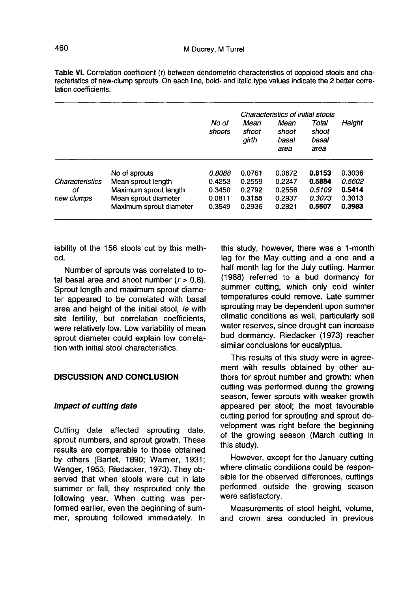|                 |                         | No of<br>shoots | Characteristics of initial stools<br>Total<br>Mean<br>Mean<br>shoot<br>shoot<br>shoot |               |               | Height |
|-----------------|-------------------------|-----------------|---------------------------------------------------------------------------------------|---------------|---------------|--------|
|                 |                         |                 | girth                                                                                 | basal<br>area | basal<br>area |        |
|                 | No of sprouts           | 0.8088          | 0.0761                                                                                | 0.0672        | 0.8153        | 0.3036 |
| Characteristics | Mean sprout length      | 0.4253          | 0.2559                                                                                | 0.2247        | 0.5884        | 0.5602 |
| οf              | Maximum sprout length   | 0.3450          | 0.2792                                                                                | 0.2556        | 0.5109        | 0.5414 |
| new clumps      | Mean sprout diameter    | 0.0811          | 0.3155                                                                                | 0.2937        | 0.3073        | 0.3013 |
|                 | Maximum sprout diameter | 0.3549          | 0.2936                                                                                | 0.2821        | 0.5507        | 0.3983 |

Table VI. Correlation coefficient (r) between dendometric characteristics of coppiced stools and characteristics of new-clump sprouts. On each line, bold- and italic type values indicate the 2 better correlation coefficients.

iability of the 156 stools cut by this method.

Number of sprouts was correlated to total basal area and shoot number  $(r > 0.8)$ . Sprout length and maximum sprout diameter appeared to be correlated with basal area and height of the initial stool, ie with site fertility, but correlation coefficients, were relatively low. Low variability of mean sprout diameter could explain low correlation with initial stool characteristics.

## DISCUSSION AND CONCLUSION

#### Impact of cutting date

Cutting date affected sprouting date, sprout numbers, and sprout growth. These results are comparable to those obtained by others (Bartet, 1890; Warnier, 1931; Wenger, 1953; Riedacker, 1973). They observed that when stools were cut in late summer or fall, they resprouted only the following year. When cutting was performed earlier, even the beginning of summer, sprouting followed immediately. In this study, however, there was a 1-month lag for the May cutting and a one and a half month lag for the July cutting. Harmer (1988) referred to a bud dormancy for summer cutting, which only cold winter temperatures could remove. Late summer sprouting may be dependent upon summer climatic conditions as well, particularly soil water reserves, since drought can increase bud dormancy. Riedacker (1973) reacher similar conclusions for eucalyptus.

This results of this study were in agreement with results obtained by other authors for sprout number and growth: when cutting was performed during the growing season, fewer sprouts with weaker growth appeared per stool; the most favourable cutting period for sprouting and sprout development was right before the beginning of the growing season (March cutting in this study).

However, except for the January cutting where climatic conditions could be responsible for the observed differences, cuttings performed outside the growing season were satisfactory.

Measurements of stool height, volume, and crown area conducted in previous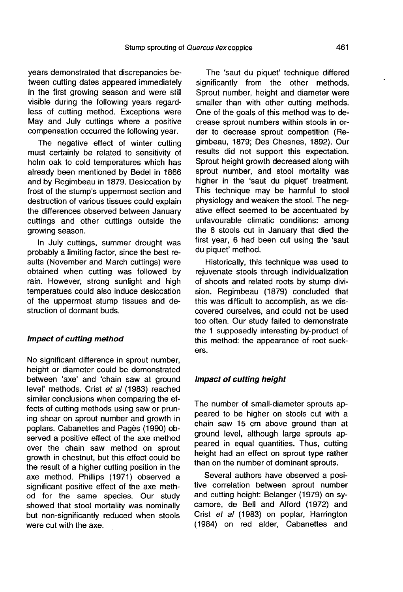years demonstrated that discrepancies between cutting dates appeared immediately in the first growing season and were still visible during the following years regardless of cutting method. Exceptions were May and July cuttings where a positive compensation occurred the following year.

The negative effect of winter cutting must certainly be related to sensitivity of holm oak to cold temperatures which has already been mentioned by Bedel in 1866 and by Regimbeau in 1879. Desiccation by frost of the stump's uppermost section and destruction of various tissues could explain the differences observed between January cuttings and other cuttings outside the growing season.

In July cuttings, summer drought was probably a limiting factor, since the best results (November and March cuttings) were obtained when cutting was followed by rain. However, strong sunlight and high temperatues could also induce desiccation of the uppermost stump tissues and destruction of dormant buds.

## Impact of cutting method

No significant difference in sprout number, height or diameter could be demonstrated between 'axe' and 'chain saw at ground level' methods. Crist et al (1983) reached similar conclusions when comparing the effects of cutting methods using saw or pruning shear on sprout number and growth in poplars. Cabanettes and Pagès (1990) observed a positive effect of the axe method over the chain saw method on sprout growth in chestnut, but this effect could be the result of a higher cutting position in the axe method. Phillips (1971) observed a significant positive effect of the axe method for the same species. Our study showed that stool mortality was nominally but non-significantly reduced when stools were cut with the axe.

The 'saut du piquet' technique differed significantly from the other methods. Sprout number, height and diameter were smaller than with other cutting methods. One of the goals of this method was to decrease sprout numbers within stools in order to decrease sprout competition (Regimbeau, 1879; Des Chesnes, 1892). Our results did not support this expectation. Sprout height growth decreased along with sprout number, and stool mortality was higher in the 'saut du piquet' treatment. This technique may be harmful to stool physiology and weaken the stool. The negative effect seemed to be accentuated by unfavourable climatic conditions: among the 8 stools cut in January that died the first year, 6 had been cut using the 'saut du piquet' method.

Historically, this technique was used to rejuvenate stools through individualization of shoots and related roots by stump division. Regimbeau (1879) concluded that this was difficult to accomplish, as we discovered ourselves, and could not be used too often. Our study failed to demonstrate the 1 supposedly interesting by-product of this method: the appearance of root suckers.

#### Impact of cutting height

The number of small-diameter sprouts appeared to be higher on stools cut with a chain saw 15 cm above ground than at ground level, although large sprouts appeared in equal quantities. Thus, cutting height had an effect on sprout type rather than on the number of dominant sprouts.

Several authors have observed a positive correlation between sprout number and cutting height: Belanger (1979) on sycamore, de Bell and Alford (1972) and Crist et al (1983) on poplar, Harrington (1984) on red alder, Cabanettes and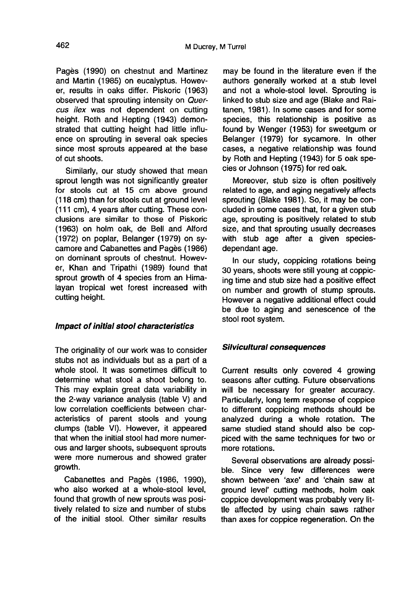Pagès (1990) on chestnut and Martinez and Martin (1985) on eucalyptus. However, results in oaks differ. Piskoric (1963) observed that sprouting intensity on Quercus ilex was not dependent on cutting height. Roth and Hepting (1943) demonstrated that cutting height had little influence on sprouting in several oak species since most sprouts appeared at the base of cut shoots.

Similarly, our study showed that mean sprout length was not significantly greater for stools cut at 15 cm above ground (118 cm) than for stools cut at ground level (111 cm), 4 years after cutting. These conclusions are similar to those of Piskoric (1963) on holm oak, de Bell and Alford (1972) on poplar, Belanger (1979) on sycamore and Cabanettes and Pagès (1986) on dominant sprouts of chestnut. However, Khan and Tripathi (1989) found that sprout growth of 4 species from an Himalayan tropical wet forest increased with cutting height.

## Impact of initial stool characteristics

The originality of our work was to consider stubs not as individuals but as a part of a whole stool. It was sometimes difficult to determine what stool a shoot belong to. This may explain great data variability in the 2-way variance analysis (table V) and low correlation coefficients between characteristics of parent stools and young clumps (table VI). However, it appeared that when the initial stool had more numerous and larger shoots, subsequent sprouts were more numerous and showed grater growth.

Cabanettes and Pagès (1986, 1990), who also worked at a whole-stool level, found that growth of new sprouts was positively related to size and number of stubs of the initial stool. Other similar results

may be found in the literature even if the authors generally worked at a stub level and not a whole-stool level. Sprouting is linked to stub size and age (Blake and Raitanen, 1981). In some cases and for some species, this relationship is positive as found by Wenger (1953) for sweetgum or Belanger (1979) for sycamore. In other cases, a negative relationship was found by Roth and Hepting (1943) for 5 oak species or Johnson (1975) for red oak.

Moreover, stub size is often positively related to age, and aging negatively affects sprouting (Blake 1981). So, it may be concluded in some cases that, for a given stub age, sprouting is positively related to stub size, and that sprouting usually decreases with stub age after a given speciesdependant age.

In our study, coppicing rotations being 30 years, shoots were still young at coppicing time and stub size had a positive effect on number and growth of stump sprouts. However a negative additional effect could be due to aging and senescence of the stool root system.

## Silvicultural consequences

Current results only covered 4 growing seasons after cutting. Future observations will be necessary for greater accuracy. Particularly, long term response of coppice to different coppicing methods should be analyzed during a whole rotation. The same studied stand should also be coppiced with the same techniques for two or more rotations.

Several observations are already possible. Since very few differences were shown between 'axe' and 'chain saw at ground level' cutting methods, holm oak coppice development was probably very little affected by using chain saws rather than axes for coppice regeneration. On the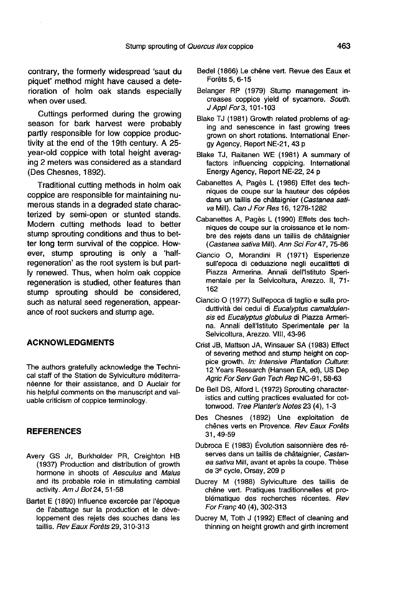contrary, the formerly widespread 'saut du piquet' method might have caused a deterioration of holm oak stands especially when over used.

Cuttings performed during the growing season for bark harvest were probably partly responsible for low coppice productivity at the end of the 19th century. A 25 year-old coppice with total height averaging 2 meters was considered as a standard (Des Chesnes, 1892).

Traditional cutting methods in holm oak coppice are responsible for maintaining numerous stands in a degraded state characterized by semi-open or stunted stands. Modern cutting methods lead to better stump sprouting conditions and thus to better long term survival of the coppice. However, stump sprouting is only a 'halfregeneration' as the root system is but partly renewed. Thus, when holm oak coppice regeneration is studied, other features than stump sprouting should be considered, such as natural seed regeneration, appearance of root suckers and stump age.

## ACKNOWLEDGMENTS

The authors gratefully acknowledge the Technical staff of the Station de Sylviculture méditerranéenne for their assistance, and D Auclair for his helpful comments on the manuscript and valuable criticism of coppice terminology.

#### **REFERENCES**

- Avery GS Jr, Burkholder PR, Creighton HB (1937) Production and distribution of growth hormone in shoots of Aesculus and Malus and its probable role in stimulating cambial activity. Am J Bot 24, 51-58
- Bartet E (1890) Influence excercée par l'époque de l'abattage sur la production et le développement des rejets des souches dans les taillis. Rev Eaux Forêts 29, 310-313
- Bedel (1866) Le chêne vert. Revue des Eaux et Forêts 5, 6-15
- Belanger RP (1979) Stump management increases coppice yield of sycamore. South. J Appl For 3, 101-103
- Blake TJ (1981) Growth related problems of aging and senescence in fast growing trees grown on short rotations. International Energy Agency, Report NE-21, 43 p
- Blake TJ, Raitanen WE (1981) A summary of factors influencing coppicing. International Energy Agency, Report NE-22, 24 p
- Cabanettes A, Pagès L (1986) Effet des techniques de coupe sur la hauteur des cépées dans un taillis de châtaignier (Castanea sativa Mill). Can J For Res 16, 1278-1282
- Cabanettes A, Pagès L (1990) Effets des techniques de coupe sur la croissance et le nombre des rejets dans un taillis de châtaignier (Castanea sativa Mill). Ann Sci For 47, 75-86
- Ciancio O, Morandini R (1971) Esperienze sull'epoca di ceduazione negli eucalitteti di Piazza Armerina. Annali dell'Istituto Sperimentale per la Selvicoltura, Arezzo. II, 71- 162
- Ciancio O (1977) Sull'epoca di taglio e sulla produttività dei cedui di Eucalyptus camaldulensis ed Eucalyptus globulus di Piazza Armerina. Annali dell'Istituto Sperimentale per la Selvicoltura, Arezzo. VIII, 43-96
- Crist JB, Mattson JA, Winsauer SA (1983) Effect of severing method and stump height on coppice growth. In: Intensive Plantation Culture: 12 Years Research (Hansen EA, ed), US Dep Agric For Serv Gen Tech Rep NC-91, 58-63
- De Bell DS, Alford L (1972) Sprouting characteristics and cutting practices evaluated for cottonwood. Tree Planter's Notes 23 (4), 1-3
- Des Chesnes (1892) Une exploitation de chênes verts en Provence. Rev Eaux Forêts 31, 49-59
- Dubroca E (1983) Évolution saisonnière des réserves dans un taillis de châtaignier, Castanea sativa Mill, avant et après la coupe. Thèse de 3e cycle, Orsay, 209 p
- Ducrey M (1988) Sylviculture des taillis de chêne vert. Pratiques traditionnelles et problématique des recherches récentes. Rev For Franç 40 (4), 302-313
- Ducrey M, Toth J (1992) Effect of cleaning and thinning on height growth and girth increment